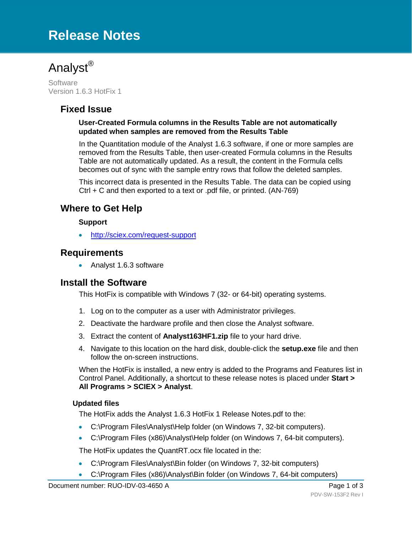# **Release Notes**



**Software** Version 1.6.3 HotFix 1

## **Fixed Issue**

#### **User-Created Formula columns in the Results Table are not automatically updated when samples are removed from the Results Table**

In the Quantitation module of the Analyst 1.6.3 software, if one or more samples are removed from the Results Table, then user-created Formula columns in the Results Table are not automatically updated. As a result, the content in the Formula cells becomes out of sync with the sample entry rows that follow the deleted samples.

This incorrect data is presented in the Results Table. The data can be copied using Ctrl + C and then exported to a text or .pdf file, or printed. (AN-769)

### **Where to Get Help**

#### **Support**

• <http://sciex.com/request-support>

#### **Requirements**

• Analyst 1.6.3 software

### **Install the Software**

This HotFix is compatible with Windows 7 (32- or 64-bit) operating systems.

- 1. Log on to the computer as a user with Administrator privileges.
- 2. Deactivate the hardware profile and then close the Analyst software.
- 3. Extract the content of **Analyst163HF1.zip** file to your hard drive.
- 4. Navigate to this location on the hard disk, double-click the **setup.exe** file and then follow the on-screen instructions.

When the HotFix is installed, a new entry is added to the Programs and Features list in Control Panel. Additionally, a shortcut to these release notes is placed under **Start > All Programs > SCIEX > Analyst**.

#### **Updated files**

The HotFix adds the Analyst 1.6.3 HotFix 1 Release Notes.pdf to the:

- C:\Program Files\Analyst\Help folder (on Windows 7, 32-bit computers).
- C:\Program Files (x86)\Analyst\Help folder (on Windows 7, 64-bit computers).

The HotFix updates the QuantRT.ocx file located in the:

- C:\Program Files\Analyst\Bin folder (on Windows 7, 32-bit computers)
- C:\Program Files (x86)\Analyst\Bin folder (on Windows 7, 64-bit computers)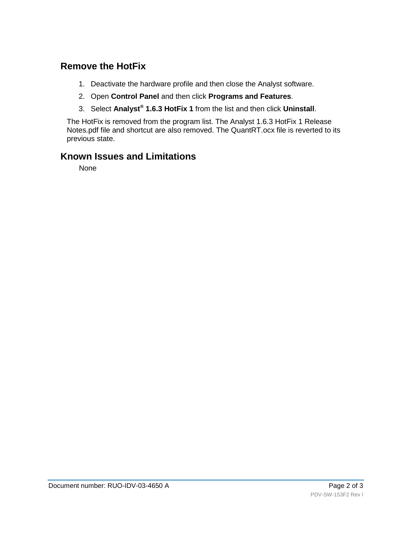# **Remove the HotFix**

- 1. Deactivate the hardware profile and then close the Analyst software.
- 2. Open **Control Panel** and then click **Programs and Features**.
- 3. Select **Analyst® 1.6.3 HotFix 1** from the list and then click **Uninstall**.

The HotFix is removed from the program list. The Analyst 1.6.3 HotFix 1 Release Notes.pdf file and shortcut are also removed. The QuantRT.ocx file is reverted to its previous state.

# **Known Issues and Limitations**

None